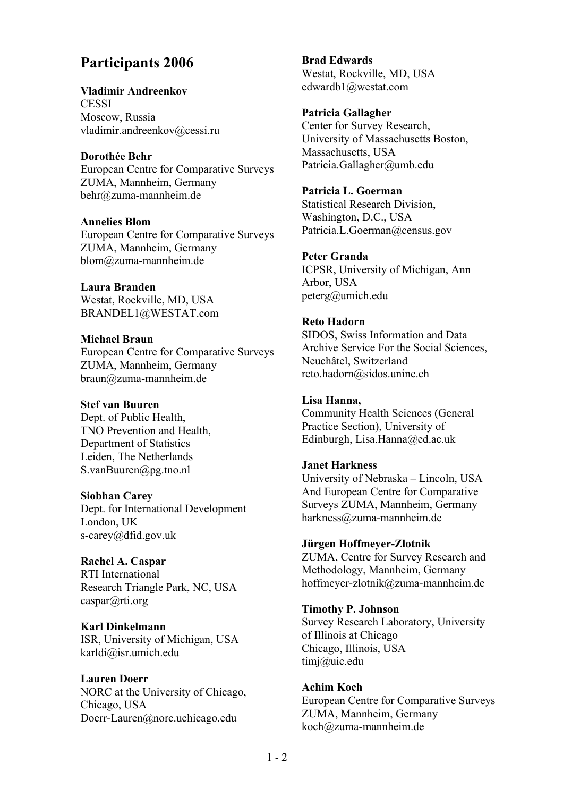# **Participants 2006**

**Vladimir Andreenkov CESSI** Moscow, Russia vladimir.andreenkov@cessi.ru

# **Dorothée Behr**

European Centre for Comparative Surveys ZUMA, Mannheim, Germany behr@zuma-mannheim.de

## **Annelies Blom**

European Centre for Comparative Surveys ZUMA, Mannheim, Germany blom@zuma-mannheim.de

## **Laura Branden**

Westat, Rockville, MD, USA BRANDEL1@WESTAT.com

# **Michael Braun**

European Centre for Comparative Surveys ZUMA, Mannheim, Germany braun@zuma-mannheim.de

# **Stef van Buuren**

Dept. of Public Health, TNO Prevention and Health, Department of Statistics Leiden, The Netherlands S.vanBuuren@pg.tno.nl

## **Siobhan Carey**

Dept. for International Development London, UK s-carey@dfid.gov.uk

# **Rachel A. Caspar**

RTI International Research Triangle Park, NC, USA caspar@rti.org

## **Karl Dinkelmann**

ISR, University of Michigan, USA karldi@isr.umich.edu

## **Lauren Doerr**

NORC at the University of Chicago, Chicago, USA Doerr-Lauren@norc.uchicago.edu

**Brad Edwards**  Westat, Rockville, MD, USA edwardb1@westat.com

## **Patricia Gallagher**

Center for Survey Research, University of Massachusetts Boston, Massachusetts, USA Patricia.Gallagher@umb.edu

**Patricia L. Goerman**  Statistical Research Division, Washington, D.C., USA Patricia.L.Goerman@census.gov

## **Peter Granda**

ICPSR, University of Michigan, Ann Arbor, USA peterg@umich.edu

## **Reto Hadorn**

SIDOS, Swiss Information and Data Archive Service For the Social Sciences, Neuchâtel, Switzerland reto.hadorn@sidos.unine.ch

# **Lisa Hanna,**

Community Health Sciences (General Practice Section), University of Edinburgh, Lisa.Hanna@ed.ac.uk

## **Janet Harkness**

University of Nebraska – Lincoln, USA And European Centre for Comparative Surveys ZUMA, Mannheim, Germany harkness@zuma-mannheim.de

## **Jürgen Hoffmeyer-Zlotnik**

ZUMA, Centre for Survey Research and Methodology, Mannheim, Germany hoffmeyer-zlotnik@zuma-mannheim.de

## **Timothy P. Johnson**

Survey Research Laboratory, University of Illinois at Chicago Chicago, Illinois, USA timj@uic.edu

## **Achim Koch**

European Centre for Comparative Surveys ZUMA, Mannheim, Germany koch@zuma-mannheim.de